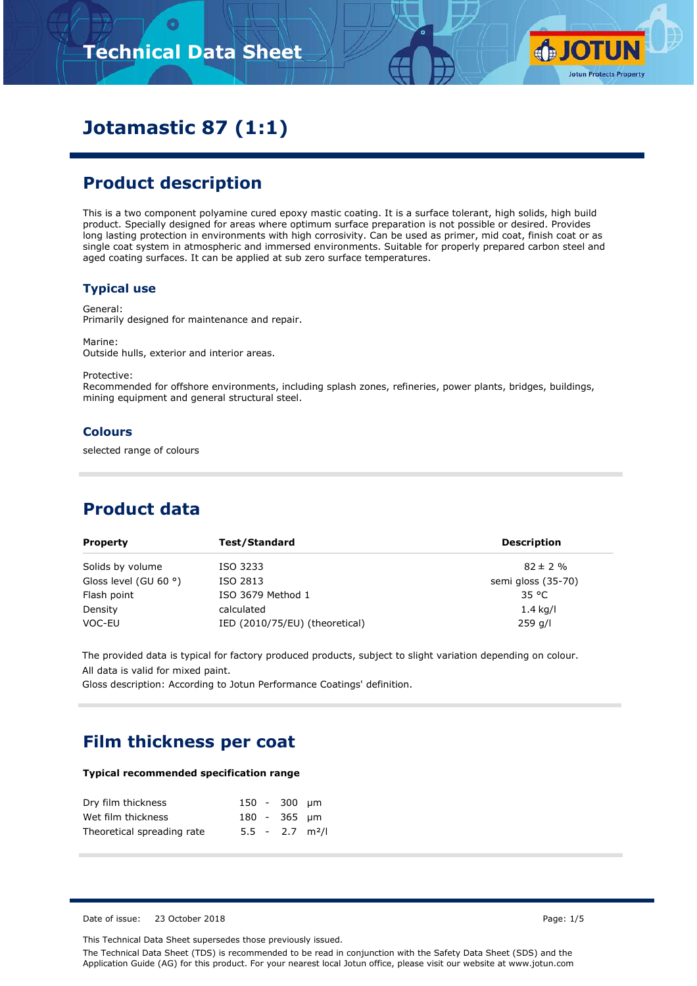# **Technical Data Sheet**



# **Jotamastic 87 (1:1)**

# **Product description**

This is a two component polyamine cured epoxy mastic coating. It is a surface tolerant, high solids, high build product. Specially designed for areas where optimum surface preparation is not possible or desired. Provides long lasting protection in environments with high corrosivity. Can be used as primer, mid coat, finish coat or as single coat system in atmospheric and immersed environments. Suitable for properly prepared carbon steel and aged coating surfaces. It can be applied at sub zero surface temperatures.

#### **Typical use**

General: Primarily designed for maintenance and repair.

Marine: Outside hulls, exterior and interior areas.

Protective:

Recommended for offshore environments, including splash zones, refineries, power plants, bridges, buildings, mining equipment and general structural steel.

#### **Colours**

selected range of colours

# **Product data**

| <b>Property</b>                | Test/Standard                  | <b>Description</b> |
|--------------------------------|--------------------------------|--------------------|
| Solids by volume               | ISO 3233                       | $82 \pm 2 \%$      |
| Gloss level (GU 60 $\degree$ ) | ISO 2813                       | semi gloss (35-70) |
| Flash point                    | ISO 3679 Method 1              | 35 °C              |
| Density                        | calculated                     | $1.4$ kg/l         |
| VOC-EU                         | IED (2010/75/EU) (theoretical) | $259$ g/l          |

The provided data is typical for factory produced products, subject to slight variation depending on colour. All data is valid for mixed paint.

Gloss description: According to Jotun Performance Coatings' definition.

# **Film thickness per coat**

#### **Typical recommended specification range**

| Dry film thickness         |  | 150 - 300 µm                  |  |
|----------------------------|--|-------------------------------|--|
| Wet film thickness         |  | 180 - 365 um                  |  |
| Theoretical spreading rate |  | $5.5 - 2.7$ m <sup>2</sup> /l |  |

Date of issue: 23 October 2018 **Page: 1/5** Page: 1/5

This Technical Data Sheet supersedes those previously issued.

The Technical Data Sheet (TDS) is recommended to be read in conjunction with the Safety Data Sheet (SDS) and the Application Guide (AG) for this product. For your nearest local Jotun office, please visit our website at www.jotun.com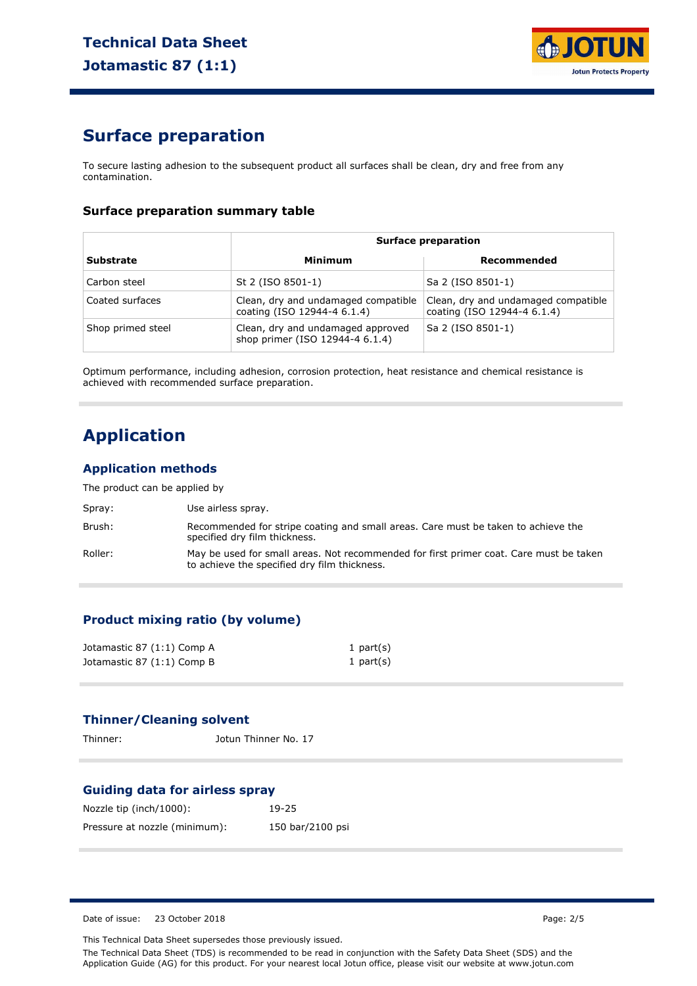

# **Surface preparation**

To secure lasting adhesion to the subsequent product all surfaces shall be clean, dry and free from any contamination.

#### **Surface preparation summary table**

|                   | <b>Surface preparation</b>                                           |                                                                    |  |
|-------------------|----------------------------------------------------------------------|--------------------------------------------------------------------|--|
| <b>Substrate</b>  | Minimum                                                              | Recommended                                                        |  |
| Carbon steel      | St 2 (ISO 8501-1)                                                    | Sa 2 (ISO 8501-1)                                                  |  |
| Coated surfaces   | Clean, dry and undamaged compatible<br>coating (ISO 12944-4 6.1.4)   | Clean, dry and undamaged compatible<br>coating (ISO 12944-4 6.1.4) |  |
| Shop primed steel | Clean, dry and undamaged approved<br>shop primer (ISO 12944-4 6.1.4) | Sa 2 (ISO 8501-1)                                                  |  |

Optimum performance, including adhesion, corrosion protection, heat resistance and chemical resistance is achieved with recommended surface preparation.

# **Application**

#### **Application methods**

The product can be applied by

| Spray:  | Use airless spray.                                                                                                                     |
|---------|----------------------------------------------------------------------------------------------------------------------------------------|
| Brush:  | Recommended for stripe coating and small areas. Care must be taken to achieve the<br>specified dry film thickness.                     |
| Roller: | May be used for small areas. Not recommended for first primer coat. Care must be taken<br>to achieve the specified dry film thickness. |

#### **Product mixing ratio (by volume)**

| Jotamastic 87 (1:1) Comp A | 1 part $(s)$ |
|----------------------------|--------------|
| Jotamastic 87 (1:1) Comp B | 1 part $(s)$ |

#### **Thinner/Cleaning solvent**

Thinner: Jotun Thinner No. 17

#### **Guiding data for airless spray**

| Nozzle tip (inch/1000):       | $19-25$          |
|-------------------------------|------------------|
| Pressure at nozzle (minimum): | 150 bar/2100 psi |

Date of issue: 23 October 2018 **Page: 2/5** 

This Technical Data Sheet supersedes those previously issued.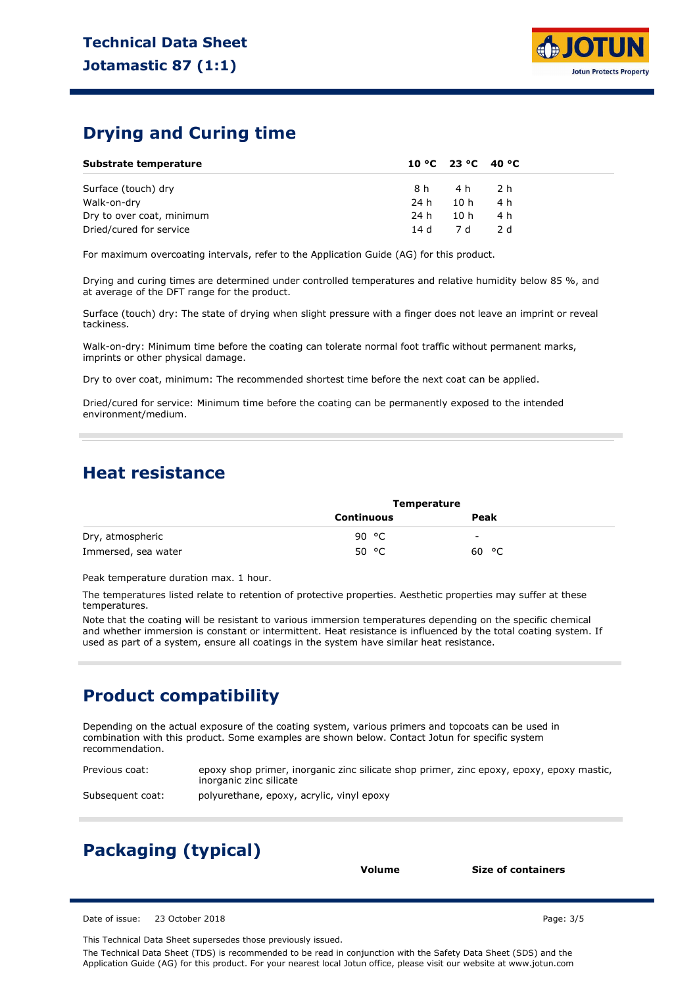

### **Drying and Curing time**

| Substrate temperature     |          |          | 10 °C 23 °C 40 °C |  |
|---------------------------|----------|----------|-------------------|--|
| Surface (touch) dry       |          | 8h 4h 2h |                   |  |
| Walk-on-dry               | 24 h     | 10 h     | - 4 h             |  |
| Dry to over coat, minimum | 24 h     | 10 h     | 4 h               |  |
| Dried/cured for service   | 14 d 7 d |          | - 2 d             |  |

For maximum overcoating intervals, refer to the Application Guide (AG) for this product.

Drying and curing times are determined under controlled temperatures and relative humidity below 85 %, and at average of the DFT range for the product.

Surface (touch) dry: The state of drying when slight pressure with a finger does not leave an imprint or reveal tackiness.

Walk-on-dry: Minimum time before the coating can tolerate normal foot traffic without permanent marks, imprints or other physical damage.

Dry to over coat, minimum: The recommended shortest time before the next coat can be applied.

Dried/cured for service: Minimum time before the coating can be permanently exposed to the intended environment/medium.

### **Heat resistance**

|                     | <b>Temperature</b> |       |  |
|---------------------|--------------------|-------|--|
|                     | <b>Continuous</b>  | Peak  |  |
| Dry, atmospheric    | ిC<br>90           | -     |  |
| Immersed, sea water | °C<br>50           | 60 °C |  |

Peak temperature duration max. 1 hour.

The temperatures listed relate to retention of protective properties. Aesthetic properties may suffer at these temperatures.

Note that the coating will be resistant to various immersion temperatures depending on the specific chemical and whether immersion is constant or intermittent. Heat resistance is influenced by the total coating system. If used as part of a system, ensure all coatings in the system have similar heat resistance.

# **Product compatibility**

Depending on the actual exposure of the coating system, various primers and topcoats can be used in combination with this product. Some examples are shown below. Contact Jotun for specific system recommendation.

Previous coat: epoxy shop primer, inorganic zinc silicate shop primer, zinc epoxy, epoxy, epoxy mastic, inorganic zinc silicate

Subsequent coat: polyurethane, epoxy, acrylic, vinyl epoxy

# **Packaging (typical)**

**Volume Size of containers**

Date of issue: 23 October 2018 **Page: 3/5** 

This Technical Data Sheet supersedes those previously issued.

The Technical Data Sheet (TDS) is recommended to be read in conjunction with the Safety Data Sheet (SDS) and the Application Guide (AG) for this product. For your nearest local Jotun office, please visit our website at www.jotun.com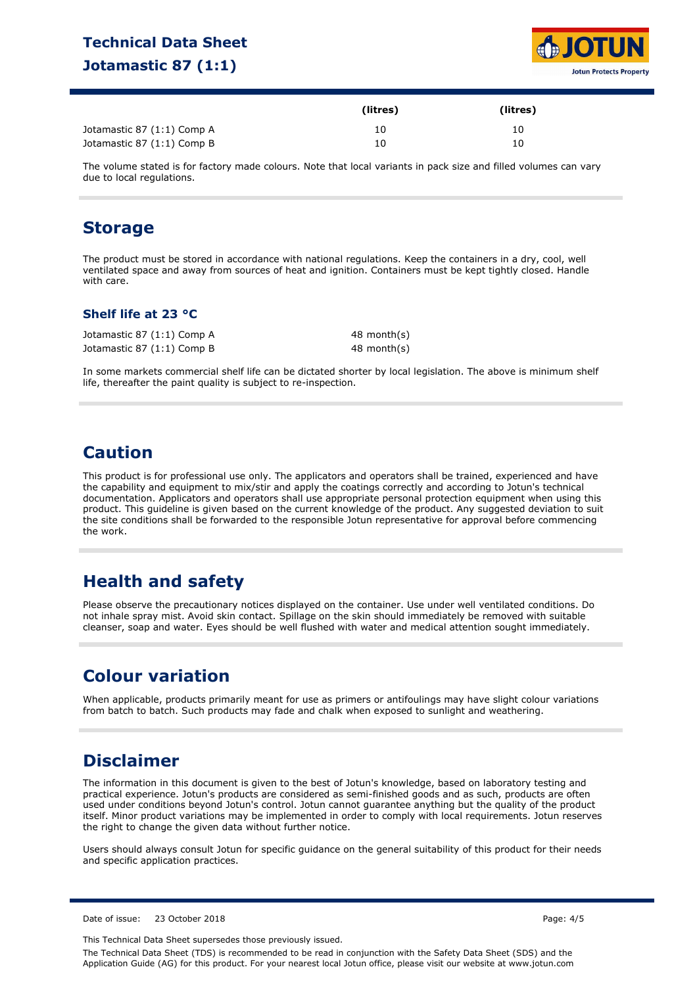# **Technical Data Sheet Jotamastic 87 (1:1)**



|                            | (litres) | (litres) |
|----------------------------|----------|----------|
| Jotamastic 87 (1:1) Comp A | 10       | 10       |
| Jotamastic 87 (1:1) Comp B | 10       | 10       |

The volume stated is for factory made colours. Note that local variants in pack size and filled volumes can vary due to local regulations.

### **Storage**

The product must be stored in accordance with national regulations. Keep the containers in a dry, cool, well ventilated space and away from sources of heat and ignition. Containers must be kept tightly closed. Handle with care.

#### **Shelf life at 23 °C**

| Jotamastic 87 (1:1) Comp A | 48 month(s) |
|----------------------------|-------------|
| Jotamastic 87 (1:1) Comp B | 48 month(s) |

In some markets commercial shelf life can be dictated shorter by local legislation. The above is minimum shelf life, thereafter the paint quality is subject to re-inspection.

# **Caution**

This product is for professional use only. The applicators and operators shall be trained, experienced and have the capability and equipment to mix/stir and apply the coatings correctly and according to Jotun's technical documentation. Applicators and operators shall use appropriate personal protection equipment when using this product. This guideline is given based on the current knowledge of the product. Any suggested deviation to suit the site conditions shall be forwarded to the responsible Jotun representative for approval before commencing the work.

# **Health and safety**

Please observe the precautionary notices displayed on the container. Use under well ventilated conditions. Do not inhale spray mist. Avoid skin contact. Spillage on the skin should immediately be removed with suitable cleanser, soap and water. Eyes should be well flushed with water and medical attention sought immediately.

# **Colour variation**

When applicable, products primarily meant for use as primers or antifoulings may have slight colour variations from batch to batch. Such products may fade and chalk when exposed to sunlight and weathering.

# **Disclaimer**

The information in this document is given to the best of Jotun's knowledge, based on laboratory testing and practical experience. Jotun's products are considered as semi-finished goods and as such, products are often used under conditions beyond Jotun's control. Jotun cannot guarantee anything but the quality of the product itself. Minor product variations may be implemented in order to comply with local requirements. Jotun reserves the right to change the given data without further notice.

Users should always consult Jotun for specific guidance on the general suitability of this product for their needs and specific application practices.

Date of issue: 23 October 2018 Page: 4/5

This Technical Data Sheet supersedes those previously issued. The Technical Data Sheet (TDS) is recommended to be read in conjunction with the Safety Data Sheet (SDS) and the Application Guide (AG) for this product. For your nearest local Jotun office, please visit our website at www.jotun.com